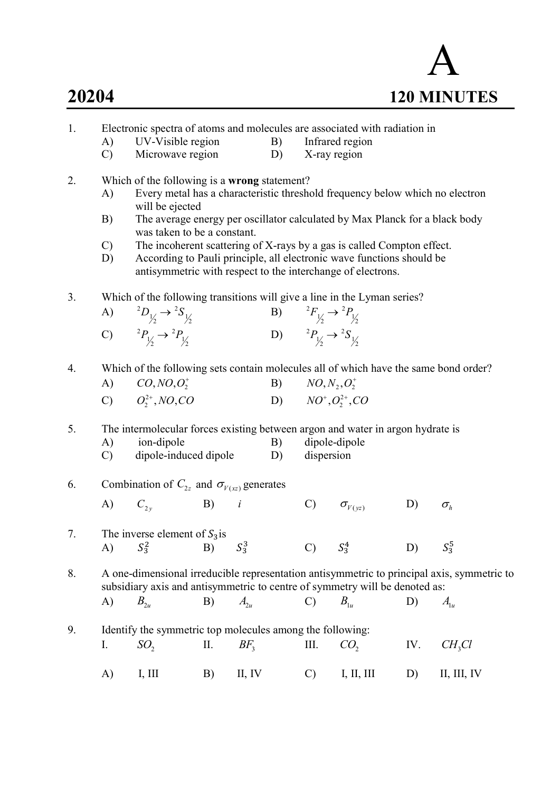

- 1. Electronic spectra of atoms and molecules are associated with radiation in
	- A) UV-Visible region B) Infrared region
	- C) Microwave region D) X-ray region
- 2. Which of the following is a wrong statement?
	- A) Every metal has a characteristic threshold frequency below which no electron will be ejected
	- B) The average energy per oscillator calculated by Max Planck for a black body was taken to be a constant.
	- C) The incoherent scattering of X-rays by a gas is called Compton effect.
	- D) According to Pauli principle, all electronic wave functions should be antisymmetric with respect to the interchange of electrons.
- 3. Which of the following transitions will give a line in the Lyman series?

| A) ${}^{2}D_{1/2} \rightarrow {}^{2}S_{1/2}$ | B) ${}^{2}F_{1/2} \rightarrow {}^{2}P_{1/2}$ |
|----------------------------------------------|----------------------------------------------|
| C) ${}^{2}P_{1/2} \rightarrow {}^{2}P_{1/2}$ | D) ${}^{2}P_{1/2} \rightarrow {}^{2}S_{1/2}$ |

4. Which of the following sets contain molecules all of which have the same bond order?

| A) $CO, NO, O_2^+$     | B) $NO, N_2, O_2^+$     |
|------------------------|-------------------------|
| C) $O_2^{2+}$ , NO, CO | D) $NO^+, O_2^{2+}, CO$ |

- 5. The intermolecular forces existing between argon and water in argon hydrate is
	- A) ion-dipole B) dipole-dipole
	- C) dipole-induced dipole D) dispersion
- 6. Combination of  $C_{2z}$  and  $\sigma_{V(xz)}$  generates
- A)  $C_{2y}$  B) i C)  $\sigma_{V(\nu z)}$  D)  $\sigma_h$
- 7. The inverse element of  $S_3$  is A)  $S_3^2$ B)  $S_3^3$  $\overline{C}$ )  $S^4$  $D$  $S_3^5$

8. A one-dimensional irreducible representation antisymmetric to principal axis, symmetric to subsidiary axis and antisymmetric to centre of symmetry will be denoted as:

A) 
$$
B_{2u}
$$
 B)  $A_{2u}$  C)  $B_{1u}$  D)  $A_{1u}$ 

9. Identify the symmetric top molecules among the following: I.  $SO_2$  II.  $BF_3$  $BF_3$  III.  $CO_2$ IV.  $CH<sub>3</sub>Cl$ A) I, III B) II, IV C) I, II, III D) II, III, IV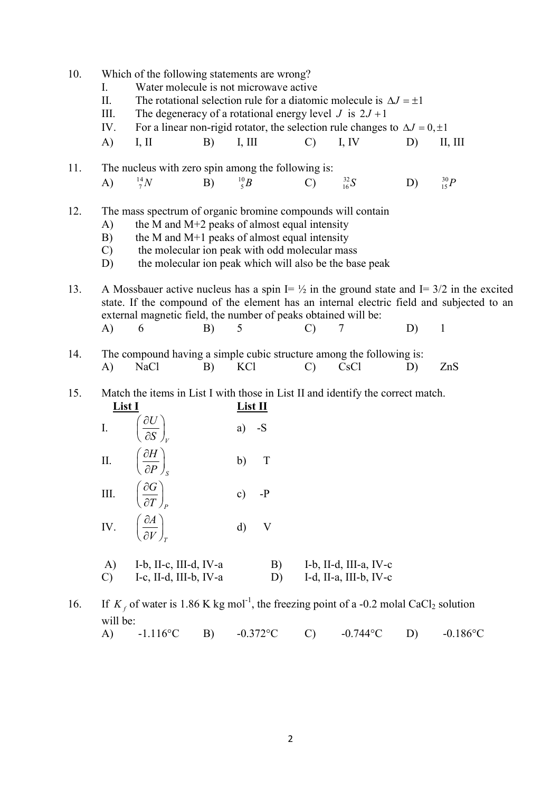| 10. | Which of the following statements are wrong?                                       |                                                                                                                                                  |    |                                                                                                           |                |                                                  |    |                                                                                                                                                                                                  |  |
|-----|------------------------------------------------------------------------------------|--------------------------------------------------------------------------------------------------------------------------------------------------|----|-----------------------------------------------------------------------------------------------------------|----------------|--------------------------------------------------|----|--------------------------------------------------------------------------------------------------------------------------------------------------------------------------------------------------|--|
|     | Ι.                                                                                 | Water molecule is not microwave active                                                                                                           |    |                                                                                                           |                |                                                  |    |                                                                                                                                                                                                  |  |
|     | II.<br>The rotational selection rule for a diatomic molecule is $\Delta J = \pm 1$ |                                                                                                                                                  |    |                                                                                                           |                |                                                  |    |                                                                                                                                                                                                  |  |
|     | III.                                                                               | The degeneracy of a rotational energy level J is $2J + 1$<br>For a linear non-rigid rotator, the selection rule changes to $\Delta J = 0, \pm 1$ |    |                                                                                                           |                |                                                  |    |                                                                                                                                                                                                  |  |
|     | IV.                                                                                |                                                                                                                                                  |    |                                                                                                           |                |                                                  |    |                                                                                                                                                                                                  |  |
|     | A)                                                                                 | I, II                                                                                                                                            | B) | I, III                                                                                                    | $\mathcal{C}$  | I, IV                                            | D) | II, III                                                                                                                                                                                          |  |
| 11. |                                                                                    | The nucleus with zero spin among the following is:                                                                                               |    |                                                                                                           |                |                                                  |    |                                                                                                                                                                                                  |  |
|     | A)                                                                                 | $^{14}_{7}N$                                                                                                                                     | B) | $^{10}_{5}B$                                                                                              | $\overline{C}$ | $^{32}_{16}S$                                    | D) | $^{30}_{15}P$                                                                                                                                                                                    |  |
| 12. |                                                                                    | The mass spectrum of organic bromine compounds will contain                                                                                      |    |                                                                                                           |                |                                                  |    |                                                                                                                                                                                                  |  |
|     | A)                                                                                 |                                                                                                                                                  |    | the M and M+2 peaks of almost equal intensity                                                             |                |                                                  |    |                                                                                                                                                                                                  |  |
|     | B)                                                                                 |                                                                                                                                                  |    | the M and $M+1$ peaks of almost equal intensity                                                           |                |                                                  |    |                                                                                                                                                                                                  |  |
|     | $\mathcal{C}$<br>D)                                                                |                                                                                                                                                  |    | the molecular ion peak with odd molecular mass<br>the molecular ion peak which will also be the base peak |                |                                                  |    |                                                                                                                                                                                                  |  |
| 13. |                                                                                    | external magnetic field, the number of peaks obtained will be:                                                                                   |    |                                                                                                           |                |                                                  |    | A Mossbauer active nucleus has a spin I= $\frac{1}{2}$ in the ground state and I= 3/2 in the excited<br>state. If the compound of the element has an internal electric field and subjected to an |  |
|     | A)                                                                                 | 6                                                                                                                                                | B) | 5                                                                                                         | $\mathcal{C}$  | 7                                                | D) | $\mathbf{1}$                                                                                                                                                                                     |  |
| 14. | A)                                                                                 | The compound having a simple cubic structure among the following is:<br>NaCl                                                                     | B) | KCl                                                                                                       | $\mathcal{C}$  | CsC <sub>1</sub>                                 | D) | ZnS                                                                                                                                                                                              |  |
| 15. | List I                                                                             | Match the items in List I with those in List II and identify the correct match.                                                                  |    | List II                                                                                                   |                |                                                  |    |                                                                                                                                                                                                  |  |
|     | $\mathbf{I}$ .                                                                     | $\left(\frac{\partial U}{\partial S}\right)_V$                                                                                                   |    | $a)$ -S                                                                                                   |                |                                                  |    |                                                                                                                                                                                                  |  |
|     |                                                                                    | II. $\left(\frac{\partial H}{\partial P}\right)_s$                                                                                               |    | T<br>b)                                                                                                   |                |                                                  |    |                                                                                                                                                                                                  |  |
|     | $\rm III.$                                                                         | $\left(\frac{\partial G}{\partial T}\right)_P$                                                                                                   |    | c)<br>$-P$                                                                                                |                |                                                  |    |                                                                                                                                                                                                  |  |
|     | $\mathbf{I} \mathbf{V}$ .                                                          | $\left(\frac{\partial A}{\partial V}\right)_r$                                                                                                   |    | $\mathbf{d}$<br>V                                                                                         |                |                                                  |    |                                                                                                                                                                                                  |  |
|     | A)<br>$\mathcal{C}$                                                                | I-b, II-c, III-d, IV-a<br>I-c, II-d, III-b, IV-a                                                                                                 |    | B)<br>D)                                                                                                  |                | I-b, II-d, III-a, IV-c<br>I-d, II-a, III-b, IV-c |    |                                                                                                                                                                                                  |  |
|     |                                                                                    |                                                                                                                                                  |    |                                                                                                           |                |                                                  |    |                                                                                                                                                                                                  |  |
| 16. | will be:                                                                           | If $K_f$ of water is 1.86 K kg mol <sup>-1</sup> , the freezing point of a -0.2 molal CaCl <sub>2</sub> solution                                 |    |                                                                                                           |                |                                                  |    |                                                                                                                                                                                                  |  |
|     | A)                                                                                 | $-1.116$ °C                                                                                                                                      | B) | $-0.372$ °C                                                                                               | $\mathbf{C}$   | $-0.744$ °C                                      | D) | $-0.186$ °C                                                                                                                                                                                      |  |
|     |                                                                                    |                                                                                                                                                  |    |                                                                                                           |                |                                                  |    |                                                                                                                                                                                                  |  |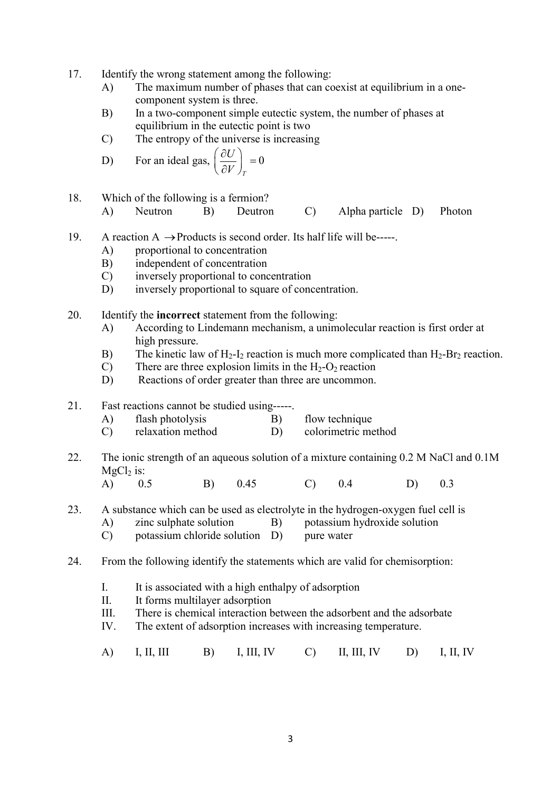- 17. Identify the wrong statement among the following:
	- A) The maximum number of phases that can coexist at equilibrium in a one component system is three.
	- B) In a two-component simple eutectic system, the number of phases at equilibrium in the eutectic point is two
	- C) The entropy of the universe is increasing

D) For an ideal gas, 
$$
\left(\frac{\partial U}{\partial V}\right)_T = 0
$$

- 18. Which of the following is a fermion?
	- A) Neutron B) Deutron C) Alpha particle D) Photon
- 19. A reaction  $A \rightarrow$  Products is second order. Its half life will be-----.
	- A) proportional to concentration
	- B) independent of concentration
	- C) inversely proportional to concentration
	- D) inversely proportional to square of concentration.
- 20. Identify the incorrect statement from the following:
	- A) According to Lindemann mechanism, a unimolecular reaction is first order at high pressure.
	- B) The kinetic law of  $H_2-I_2$  reaction is much more complicated than  $H_2-Br_2$  reaction.
	- C) There are three explosion limits in the  $H_2-O_2$  reaction
	- D) Reactions of order greater than three are uncommon.

## 21. Fast reactions cannot be studied using-----.

- A) flash photolysis B) flow technique
- C) relaxation method D) colorimetric method
- 22. The ionic strength of an aqueous solution of a mixture containing 0.2 M NaCl and 0.1M  $MgCl<sub>2</sub>$  is:
- A) 0.5 B) 0.45 C) 0.4 D) 0.3
- 23. A substance which can be used as electrolyte in the hydrogen-oxygen fuel cell is
	- A) zinc sulphate solution B) potassium hydroxide solution
	- C) potassium chloride solution D) pure water
- 24. From the following identify the statements which are valid for chemisorption:
	- I. It is associated with a high enthalpy of adsorption
	- II. It forms multilayer adsorption
	- III. There is chemical interaction between the adsorbent and the adsorbate
	- IV. The extent of adsorption increases with increasing temperature.
- A) I, II, III B) I, III, IV C) II, III, IV D) I, II, IV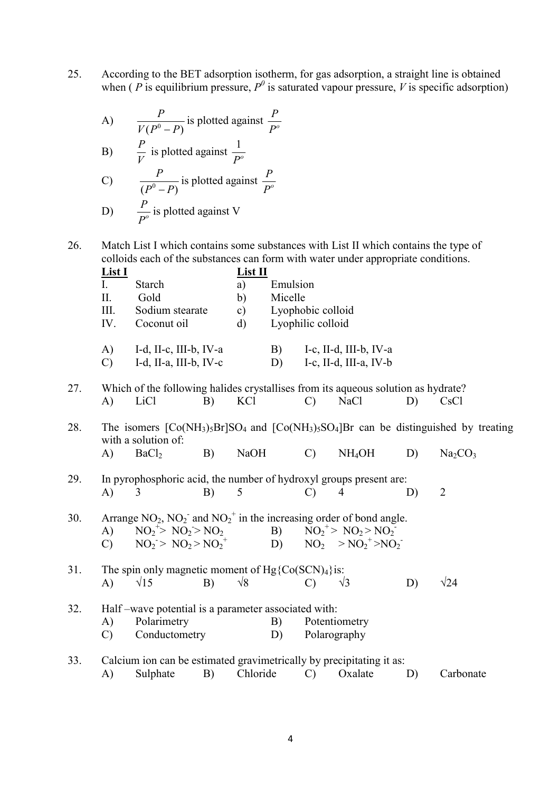25. According to the BET adsorption isotherm, for gas adsorption, a straight line is obtained when ( P is equilibrium pressure,  $P^0$  is saturated vapour pressure, V is specific adsorption)

A) 
$$
\frac{P}{V(P^0 - P)}
$$
 is plotted against  $\frac{P}{P^o}$   
\nB)  $\frac{P}{V}$  is plotted against  $\frac{1}{P^o}$   
\nC)  $\frac{P}{V}$  is plotted against  $\frac{P}{P^o}$ 

C) 
$$
\frac{P}{(P^0 - P)}
$$
 is plotted against  
D)  $\frac{P}{P^0}$  is plotted against V

26. Match List I which contains some substances with List II which contains the type of colloids each of the substances can form with water under appropriate conditions.<br>  $\mathbf{I}$  ist  $\mathbf{I}$ 

 $P^o$ 

|     | <b>List I</b> |                                                                                   |    | List II       |          |                   |                              |    |                                                                                      |
|-----|---------------|-----------------------------------------------------------------------------------|----|---------------|----------|-------------------|------------------------------|----|--------------------------------------------------------------------------------------|
|     | Ι.            | Starch                                                                            |    | a)            | Emulsion |                   |                              |    |                                                                                      |
|     | II.           | Gold                                                                              |    | b)            | Micelle  |                   |                              |    |                                                                                      |
|     | III.          | Sodium stearate                                                                   |    | $\mathbf{c})$ |          | Lyophobic colloid |                              |    |                                                                                      |
|     | IV.           | Coconut oil                                                                       |    | $\rm d$       |          | Lyophilic colloid |                              |    |                                                                                      |
|     | $\mathbf{A}$  | I-d, II-c, III-b, IV-a                                                            |    |               | B)       |                   | I-c, II-d, III-b, IV-a       |    |                                                                                      |
|     | $\mathcal{C}$ | I-d, II-a, III-b, IV-c                                                            |    |               | D)       |                   | I-c, II-d, III-a, IV-b       |    |                                                                                      |
| 27. |               | Which of the following halides crystallises from its aqueous solution as hydrate? |    |               |          |                   |                              |    |                                                                                      |
|     | A)            | LiCl                                                                              | B) | KCl           |          | $\mathcal{C}$     | NaCl                         | D) | C <sub>s</sub> C <sub>1</sub>                                                        |
| 28. |               | with a solution of:                                                               |    |               |          |                   |                              |    | The isomers $[Co(NH3)5Br]SO4$ and $[Co(NH3)5SO4]Br$ can be distinguished by treating |
|     | A)            | BaCl <sub>2</sub>                                                                 | B) | <b>NaOH</b>   |          | $\mathcal{C}$     | NH <sub>4</sub> OH           | D) | Na <sub>2</sub> CO <sub>3</sub>                                                      |
| 29. |               | In pyrophosphoric acid, the number of hydroxyl groups present are:                |    |               |          |                   |                              |    |                                                                                      |
|     | $\mathbf{A}$  | 3                                                                                 | B) | 5             |          | $\mathcal{C}$     | $\overline{4}$               | D) | $\overline{2}$                                                                       |
| 30. |               | Arrange $NO_2$ , $NO_2^-$ and $NO_2^+$ in the increasing order of bond angle.     |    |               |          |                   |                              |    |                                                                                      |
|     | $\bf{A}$ )    | $NO2+ > NO2 > NO2$                                                                |    |               | B)       |                   | $NO_2^{\star} > NO_2 > NO_2$ |    |                                                                                      |
|     | $\mathcal{C}$ | $NO_2 > NO_2 > NO_2^+$                                                            |    |               | D)       |                   | $NO2 > NO2+ > NO2-$          |    |                                                                                      |
| 31. |               | The spin only magnetic moment of $Hg\{Co(SCN)4\}$ is:                             |    |               |          |                   |                              |    |                                                                                      |
|     | $\mathbf{A}$  | $\sqrt{15}$                                                                       | B) | $\sqrt{8}$    |          | $\mathcal{C}$     | $\sqrt{3}$                   | D) | $\sqrt{24}$                                                                          |
| 32. |               | Half – wave potential is a parameter associated with:                             |    |               |          |                   |                              |    |                                                                                      |
|     | A)            | Polarimetry                                                                       |    |               | B)       |                   | Potentiometry                |    |                                                                                      |
|     | $\mathcal{C}$ | Conductometry                                                                     |    |               | D)       |                   | Polarography                 |    |                                                                                      |
| 33. |               | Calcium ion can be estimated gravimetrically by precipitating it as:              |    |               |          |                   |                              |    |                                                                                      |
|     | A)            | Sulphate                                                                          | B) | Chloride      |          | $\mathcal{C}$     | Oxalate                      | D) | Carbonate                                                                            |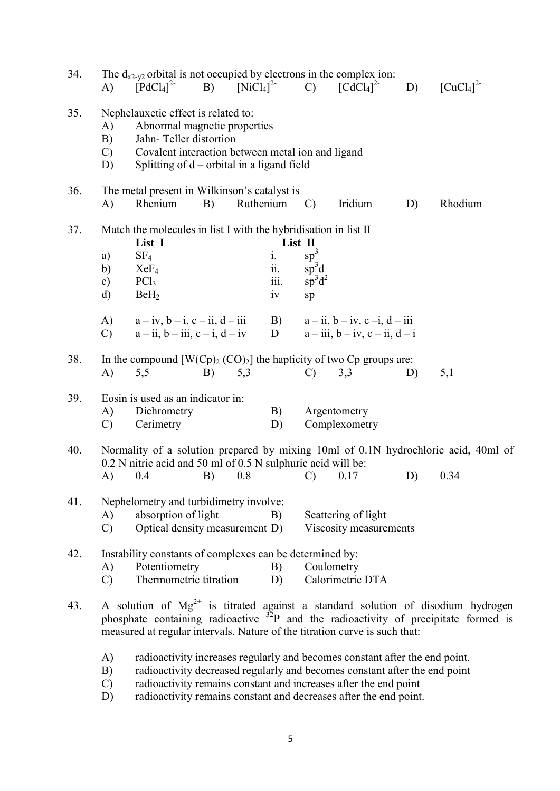| 34. | The $d_{x2-y2}$ orbital is not occupied by electrons in the complex ion:<br>$\left[\text{CuCl}_4\right]^2$<br>$\left[\text{PdCl}_4\right]^{2-}$<br>B) $[NiCl_4]^{2}$ C) $[CdCl_4]^{2}$<br>D)<br>$\bf{A}$                                                                                                                              |
|-----|---------------------------------------------------------------------------------------------------------------------------------------------------------------------------------------------------------------------------------------------------------------------------------------------------------------------------------------|
| 35. | Nephelauxetic effect is related to:<br>Abnormal magnetic properties<br>A)<br>B)<br>Jahn-Teller distortion<br>Covalent interaction between metal ion and ligand<br>$\mathcal{C}$<br>Splitting of $d$ – orbital in a ligand field<br>D)                                                                                                 |
| 36. | The metal present in Wilkinson's catalyst is<br>Rhenium<br>B)<br>Ruthenium<br>$\mathcal{C}$<br>Iridium<br>D)<br>Rhodium<br>A)                                                                                                                                                                                                         |
| 37. | Match the molecules in list I with the hybridisation in list II<br>List I<br>List II<br>$sp^3$<br>SF <sub>4</sub><br>i.<br>a)<br>ii.<br>${\rm sp}^3{\rm d}$<br>$\mathbf{b}$<br>XeF <sub>4</sub><br>iii.<br>$sp^3d^2$<br>PCl <sub>3</sub><br>$\mathbf{c})$<br>$\mathbf{d}$<br>BeH <sub>2</sub><br>1V<br>sp                             |
|     | B)<br>$a - ii$ , $b - iv$ , $c - i$ , $d - iii$<br>(A)<br>$a-iv, b-i, c-ii, d-iii$<br>$\mathbf{D}$<br>$a - ii$ , $b - iii$ , $c - i$ , $d - iv$<br>$a - iii$ , $b - iv$ , $c - ii$ , $d - i$<br>$\mathcal{C}$                                                                                                                         |
| 38. | In the compound $[W(Cp)_2(CO)_2]$ the hapticity of two Cp groups are:<br>$\bf{A}$<br>5,5<br>B)<br>5,3<br>3,3<br>5,1<br>D)<br>$\mathcal{C}$                                                                                                                                                                                            |
| 39. | Eosin is used as an indicator in:<br>Dichrometry<br>Argentometry<br>A)<br>B)<br>$\mathcal{C}$<br>Cerimetry<br>D)<br>Complexometry                                                                                                                                                                                                     |
| 40. | Normality of a solution prepared by mixing 10ml of 0.1N hydrochloric acid, 40ml of<br>0.2 N nitric acid and 50 ml of 0.5 N sulphuric acid will be:<br>0.8<br>A)<br>0.4<br>B)<br>0.17<br>D)<br>0.34<br>$\mathcal{C}$                                                                                                                   |
| 41. | Nephelometry and turbidimetry involve:<br>absorption of light<br>Scattering of light<br>A)<br>B)<br>Optical density measurement D)<br>Viscosity measurements<br>$\mathcal{C}$                                                                                                                                                         |
| 42. | Instability constants of complexes can be determined by:<br>Potentiometry<br>Coulometry<br>A)<br>B)<br>Thermometric titration<br>Calorimetric DTA<br>D)<br>$\mathcal{C}$                                                                                                                                                              |
| 43. | A solution of $Mg^{2+}$ is titrated against a standard solution of disodium hydrogen<br>phosphate containing radioactive $32P$ and the radioactivity of precipitate formed is<br>measured at regular intervals. Nature of the titration curve is such that:                                                                           |
|     | radioactivity increases regularly and becomes constant after the end point.<br>A)<br>radioactivity decreased regularly and becomes constant after the end point<br>B)<br>radioactivity remains constant and increases after the end point<br>$\mathcal{C}$<br>radioactivity remains constant and decreases after the end point.<br>D) |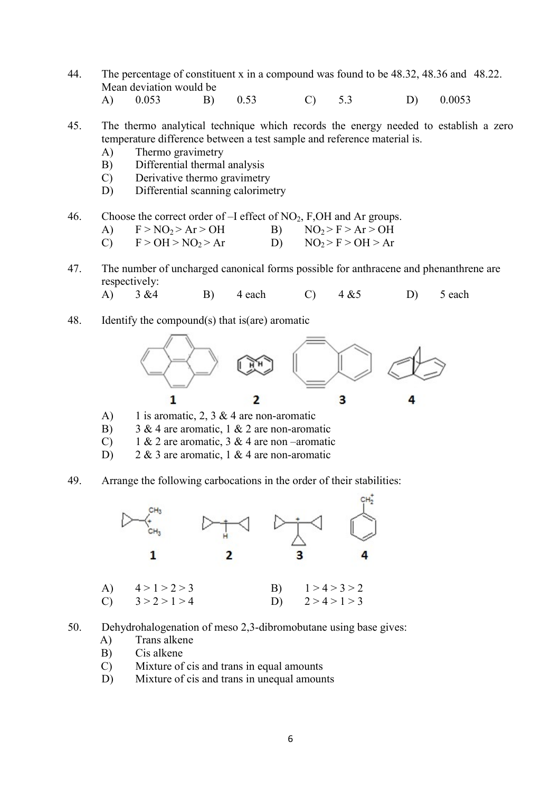- 44. The percentage of constituent x in a compound was found to be 48.32, 48.36 and 48.22. Mean deviation would be
- A) 0.053 B) 0.53 C) 5.3 D) 0.0053
- 45. The thermo analytical technique which records the energy needed to establish a zero temperature difference between a test sample and reference material is.
	- A) Thermo gravimetry
	- B) Differential thermal analysis
	- C) Derivative thermo gravimetry
	- D) Differential scanning calorimetry
- 46. Choose the correct order of –I effect of NO<sub>2</sub>, F,OH and Ar groups.

A) 
$$
F > NO_2 > Ar > OH
$$
   
\nB)  $NO_2 > F > Ar > OH$ 

- C)  $F > OH > NO_2 > Ar$  D)  $NO_2 > F > OH > Ar$
- 47. The number of uncharged canonical forms possible for anthracene and phenanthrene are respectively:

A) 
$$
3 \& 4
$$
 B)  $4 \text{ each}$  C)  $4 \& 5$  D)  $5 \text{ each}$ 

48. Identify the compound(s) that is(are) aromatic



- A) 1 is aromatic, 2, 3 & 4 are non-aromatic
- B)  $3 \& 4$  are aromatic, 1  $\& 2$  are non-aromatic
- C) 1 & 2 are aromatic, 3 & 4 are non-aromatic
- D)  $2 \& 3$  are aromatic, 1 & 4 are non-aromatic
- 49. Arrange the following carbocations in the order of their stabilities:



- 50. Dehydrohalogenation of meso 2,3-dibromobutane using base gives:
	- A) Trans alkene
	- B) Cis alkene
	- C) Mixture of cis and trans in equal amounts
	- D) Mixture of cis and trans in unequal amounts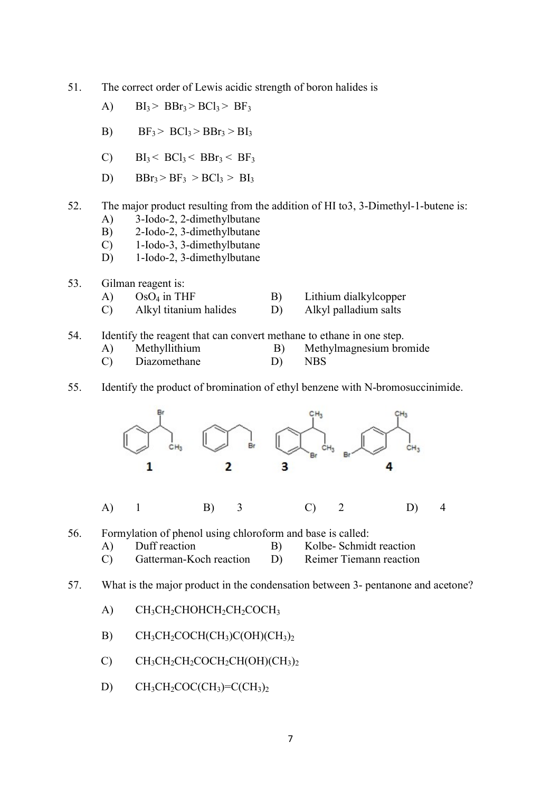- 51. The correct order of Lewis acidic strength of boron halides is
	- A)  $BI_3 > BBr_3 > BCl_3 > BF_3$
	- B)  $BF_3 > BC1_3 > BBr_3 > BI_3$
	- C)  $\text{BI}_3$  <  $\text{BCl}_3$  <  $\text{BBr}_3$  <  $\text{BF}_3$
	- D)  $BBr_3 > BF_3 > BCl_3 > BI_3$
- 52. The major product resulting from the addition of HI to3, 3-Dimethyl-1-butene is:
	- A) 3-Iodo-2, 2-dimethylbutane
	- B) 2-Iodo-2, 3-dimethylbutane
	- C) 1-Iodo-3, 3-dimethylbutane
	- D) 1-Iodo-2, 3-dimethylbutane
- 53. Gilman reagent is:
	- A)  $OsO<sub>4</sub>$  in THF B) Lithium dialkylcopper
	- C) Alkyl titanium halides D) Alkyl palladium salts
- 54. Identify the reagent that can convert methane to ethane in one step.
	- A) Methyllithium B) Methylmagnesium bromide
	- C) Diazomethane D) NBS
- 55. Identify the product of bromination of ethyl benzene with N-bromosuccinimide.



- 57. What is the major product in the condensation between 3- pentanone and acetone?
	- A)  $CH_3CH_2CHOHCH_2CH_2COCH_3$
	- B)  $CH_3CH_2COCH(CH_3)C(OH)(CH_3)_2$
	- C)  $CH_3CH_2CH_2COCH_2CH(OH)(CH_3)_2$
	- D)  $CH_3CH_2COC(CH_3)=C(CH_3)_2$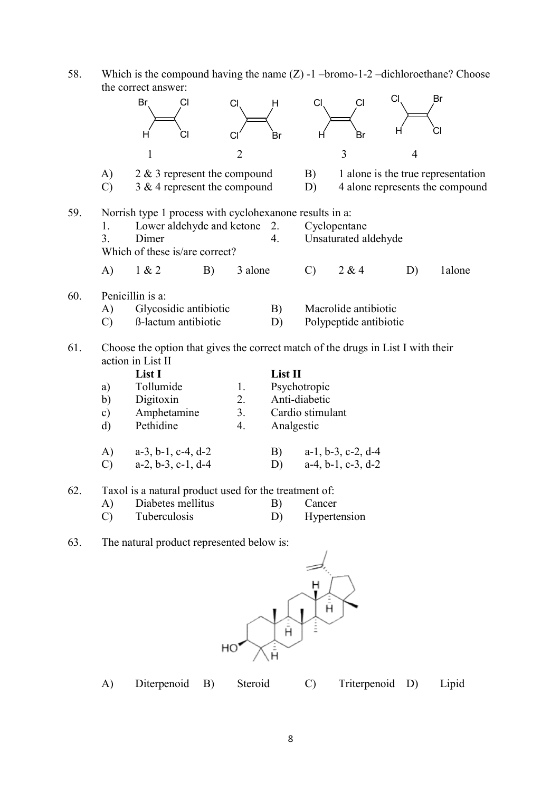58. Which is the compound having the name  $(Z)$  -1 -bromo-1-2 -dichloroethane? Choose the correct answer:

|     |                     | Br<br>CI                                                                         | CI             | H       | C1               | <b>CI</b>                     | CI             | Br                                                                    |  |
|-----|---------------------|----------------------------------------------------------------------------------|----------------|---------|------------------|-------------------------------|----------------|-----------------------------------------------------------------------|--|
|     |                     | н<br>СI                                                                          | C <sub>l</sub> | Br      | н                | <b>Br</b>                     | н              | Cl                                                                    |  |
|     |                     | $\mathbf{1}$                                                                     | $\overline{2}$ |         |                  | $\overline{3}$                | $\overline{4}$ |                                                                       |  |
|     | A)<br>$\mathcal{C}$ | 2 & 3 represent the compound<br>3 & 4 represent the compound                     |                |         | B)<br>D)         |                               |                | 1 alone is the true representation<br>4 alone represents the compound |  |
| 59. |                     | Norrish type 1 process with cyclohexanone results in a:                          |                |         |                  |                               |                |                                                                       |  |
|     | 1.                  | Lower aldehyde and ketone                                                        |                | 2.      |                  | Cyclopentane                  |                |                                                                       |  |
|     | $\overline{3}$ .    | Dimer                                                                            |                | 4.      |                  | Unsaturated aldehyde          |                |                                                                       |  |
|     |                     | Which of these is/are correct?                                                   |                |         |                  |                               |                |                                                                       |  |
|     | A)                  | 1 & 2<br>B)                                                                      | 3 alone        |         | $\mathcal{C}$    | 2 & 4                         | D)             | 1alone                                                                |  |
| 60. |                     | Penicillin is a:                                                                 |                |         |                  |                               |                |                                                                       |  |
|     | A)                  | Glycosidic antibiotic                                                            |                | B)      |                  | Macrolide antibiotic          |                |                                                                       |  |
|     | $\mathcal{C}$       | ß-lactum antibiotic                                                              |                | D)      |                  | Polypeptide antibiotic        |                |                                                                       |  |
| 61. |                     | Choose the option that gives the correct match of the drugs in List I with their |                |         |                  |                               |                |                                                                       |  |
|     |                     | action in List II                                                                |                |         |                  |                               |                |                                                                       |  |
|     |                     | List I                                                                           |                | List II |                  |                               |                |                                                                       |  |
|     | a)                  | Tollumide                                                                        | 1.             |         | Psychotropic     |                               |                |                                                                       |  |
|     | b)                  | Digitoxin                                                                        | 2.             |         | Anti-diabetic    |                               |                |                                                                       |  |
|     | $\mathbf{c})$       | Amphetamine                                                                      | 3.             |         | Cardio stimulant |                               |                |                                                                       |  |
|     | $\mathbf{d}$        | Pethidine                                                                        | 4.             |         | Analgestic       |                               |                |                                                                       |  |
|     | A)                  | $a-3$ , $b-1$ , $c-4$ , $d-2$<br>$a-2$ , $b-3$ , $c-1$ , $d-4$                   |                | B)      |                  | $a-1$ , $b-3$ , $c-2$ , $d-4$ |                |                                                                       |  |
|     | $\mathcal{C}$       |                                                                                  |                | D)      |                  | $a-4$ , $b-1$ , $c-3$ , $d-2$ |                |                                                                       |  |
| 62. |                     | Taxol is a natural product used for the treatment of:                            |                |         |                  |                               |                |                                                                       |  |
|     | A)                  | Diabetes mellitus                                                                |                | B)      | Cancer           |                               |                |                                                                       |  |
|     |                     |                                                                                  |                |         |                  |                               |                |                                                                       |  |
|     | $\mathcal{C}$       | Tuberculosis                                                                     |                | D)      |                  | Hypertension                  |                |                                                                       |  |
| 63. |                     | The natural product represented below is:                                        |                |         |                  |                               |                |                                                                       |  |



|  | Diterpenoid B) |  | Steroid |  | Triterpenoid D) |  | Lipid |
|--|----------------|--|---------|--|-----------------|--|-------|
|--|----------------|--|---------|--|-----------------|--|-------|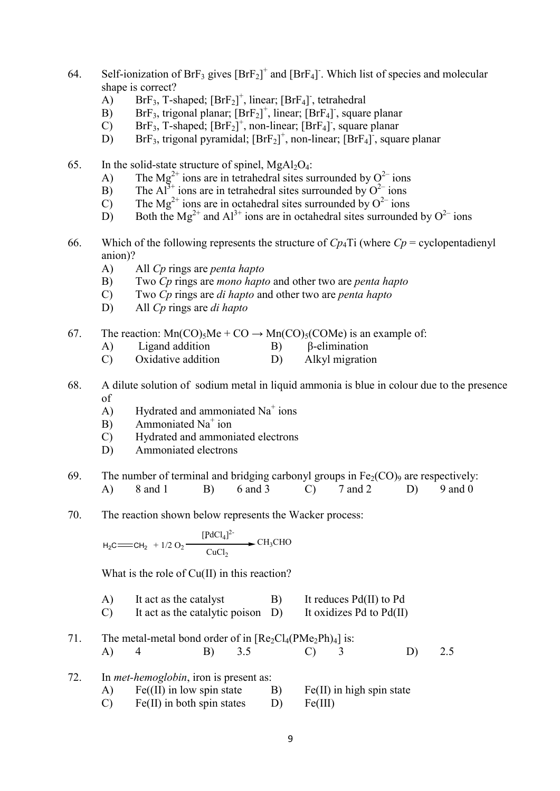- 64. Self-ionization of  $\text{BrF}_3$  gives  $[\text{BrF}_2]^+$  and  $[\text{BrF}_4]$ . Which list of species and molecular shape is correct?
	- A) BrF<sub>3</sub>, T-shaped;  $[BrF<sub>2</sub>]<sup>+</sup>$ , linear;  $[BrF<sub>4</sub>]<sup>-</sup>$ , tetrahedral
	- B) BrF<sub>3</sub>, trigonal planar;  $[BrF<sub>2</sub>]<sup>+</sup>$ , linear;  $[BrF<sub>4</sub>]$ , square planar
	- C) BrF<sub>3</sub>, T-shaped;  $[BrF<sub>2</sub>]<sup>+</sup>$ , non-linear;  $[BrF<sub>4</sub>]<sup>+</sup>$ , square planar
	- D) BrF<sub>3</sub>, trigonal pyramidal;  $[BrF<sub>2</sub>]<sup>+</sup>$ , non-linear;  $[BrF<sub>4</sub>]<sup>-</sup>$ , square planar
- 65. In the solid-state structure of spinel,  $MgAl<sub>2</sub>O<sub>4</sub>$ :
	- A) The Mg<sup>2+</sup> ions are in tetrahedral sites surrounded by  $O^{2-}$  ions
	- B) The Al<sup>3+</sup> ions are in tetrahedral sites surrounded by  $O^{2-}$  ions
	- C) The Mg<sup>2+</sup> ions are in octahedral sites surrounded by  $O^{2-}$  ions
	- D) Both the Mg<sup>2+</sup> and Al<sup>3+</sup> ions are in octahedral sites surrounded by  $O^{2-}$  ions
- 66. Which of the following represents the structure of  $Cp_4$ Ti (where  $Cp =$  cyclopentadienyl anion)?
	- A) All Cp rings are penta hapto
	- B) Two Cp rings are mono hapto and other two are penta hapto
	- C) Two Cp rings are di hapto and other two are penta hapto
	- D) All C<sub>p</sub> rings are *di hapto*
- 67. The reaction:  $Mn(CO)_5Me + CO \rightarrow Mn(CO)_5(COMe)$  is an example of:
	- A) Ligand addition B) β-elimination
	- C) Oxidative addition D) Alkyl migration
- 68. A dilute solution of sodium metal in liquid ammonia is blue in colour due to the presence of
	- A) Hydrated and ammoniated  $Na<sup>+</sup>$  ions
	- $\overrightarrow{B}$  Ammoniated Na<sup>+</sup> ion
	- C) Hydrated and ammoniated electrons
	- D) Ammoniated electrons
- 69. The number of terminal and bridging carbonyl groups in  $Fe<sub>2</sub>(CO)<sub>9</sub>$  are respectively:<br>
(b) 8 and 1 B) 6 and 3 C) 7 and 2 D) 9 and 0 A) 8 and 1 B) 6 and 3 C) 7 and 2 D) 9 and 0 D) All Cp rings are di hapto<br>
The reaction: Mn(CO)<sub>5</sub>Me + CO → Mn(CO)<sub>5</sub>(COMe) is an example of:<br>
A) Ligand addition B) β-elimination<br>
C) Oxidative addition D) Alkyl migration<br>
A dilute solution of sodium metal in liquid
- 70. The reaction shown below represents the Wacker process:

$$
H_2C = CH_2 + 1/2 O_2 \xrightarrow{\text{[PdCl}_4]^2} CH_3CHO
$$

What is the role of Cu(II) in this reaction?

- A) It act as the catalyst B) It reduces Pd(II) to Pd
- C) It act as the catalytic poison D) It oxidizes Pd to Pd(II)
- 71. The metal-metal bond order of in  $[Re_2Cl_4(PMe_2Ph)_4]$  is: A) 4 B) 3.5 C) 3 D) 2.5

| 72. | In <i>met-hemoglobin</i> , iron is present as: |      |                             |
|-----|------------------------------------------------|------|-----------------------------|
|     | $A)$ Fe(II) in low spin state                  | - B) | $Fe(II)$ in high spin state |
|     | $Fe(II)$ in both spin states                   | D)   | Fe(III)                     |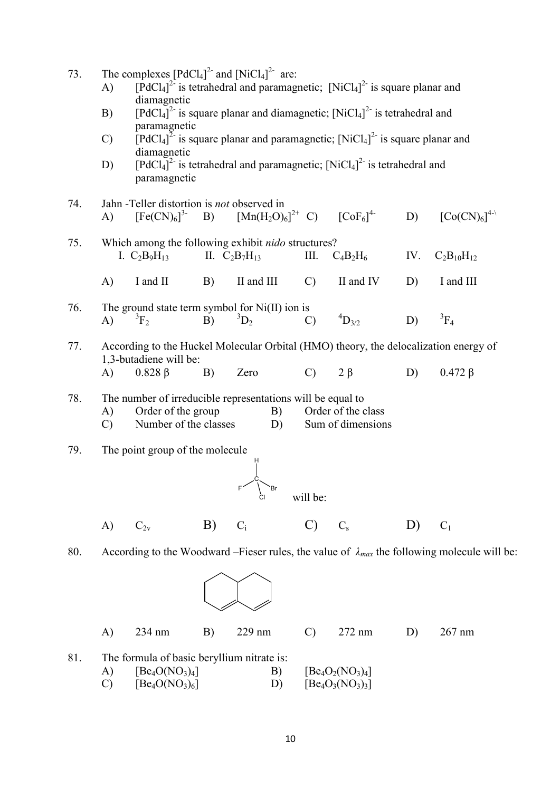- 73. The complexes  $[PdCl_4]^2$  and  $[NiCl_4]^2$  are:
	- A)  $[PdCl_4]^2$  is tetrahedral and paramagnetic;  $[NiCl_4]^2$  is square planar and diamagnetic
	- B) [PdCl<sub>4</sub>]<sup>2-</sup> is square planar and diamagnetic;  $[NiCl<sub>4</sub>]<sup>2-</sup>$  is tetrahedral and paramagnetic
	- C) [PdCl<sub>4</sub>]<sup>2</sup> is square planar and paramagnetic;  $[NiCl<sub>4</sub>]<sup>2</sup>$  is square planar and diamagnetic
	- D) [PdCl<sub>4</sub>]<sup>2-</sup> is tetrahedral and paramagnetic; [NiCl<sub>4</sub>]<sup>2-</sup> is tetrahedral and paramagnetic
- 74. Jahn -Teller distortion is not observed in A)  $[Fe(CN)<sub>6</sub>]<sup>3</sup>$ B)  $[Mn(H_2O)_6]^{2+}$  C)  $\left[\text{CoF}_6\right]^{4-}$ 4- D)  $[Co(CN)_{6}]^{4-\lambda}$
- 75. Which among the following exhibit nido structures? I.  $C_2B_9H_{13}$  II.  $C_2B_7H_{13}$  III.  $C_4B_2H_6$  IV.  $C_2B_{10}H_{12}$ A) I and II B) II and III C) II and IV D) I and III
- 76. The ground state term symbol for Ni(II) ion is A)  ${}^{3}F_{2}$  B)  ${}^{3}D_{2}$  C)  ${}^{4}D_{3/2}$  D)  ${}^{3}F_{4}$
- 77. According to the Huckel Molecular Orbital (HMO) theory, the delocalization energy of 1,3-butadiene will be: A)  $0.828 \beta$  B) Zero C) 2 β D)  $0.472 \beta$
- 78. The number of irreducible representations will be equal to
	- A) Order of the group B) Order of the class
	- C) Number of the classes D) Sum of dimensions
- 79. The point group of the molecule



A)  $C_{2v}$  B)  $C_i$  C)  $C_s$  D)  $C_1$ 

80. According to the Woodward –Fieser rules, the value of  $\lambda_{max}$  the following molecule will be:



A) 234 nm B) 229 nm C) 272 nm D) 267 nm

- 81. The formula of basic beryllium nitrate is:
	- A)  $[Be_4O(NO_3)_4]$  B)  $[Be_4O_2(NO_3)_4]$ <br>C)  $[Be_4O(NO_3)_6]$  D)  $[Be_4O_3(NO_3)_3]$ C)  $[Be_4O(NO_3)_6]$  D)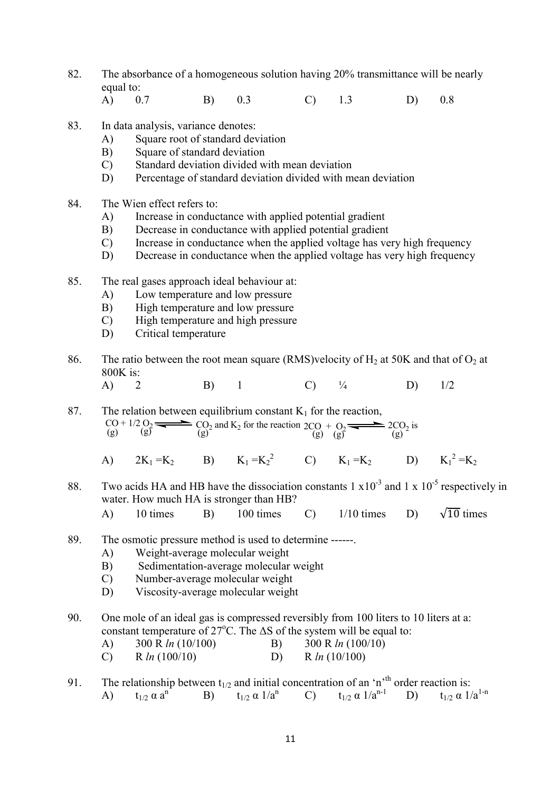- 82. The absorbance of a homogeneous solution having 20% transmittance will be nearly equal to:
	- A) 0.7 B) 0.3 C) 1.3 D) 0.8
- 83. In data analysis, variance denotes:
	- A) Square root of standard deviation
	- B) Square of standard deviation
	- C) Standard deviation divided with mean deviation
	- D) Percentage of standard deviation divided with mean deviation
- 84. The Wien effect refers to:
	- A) Increase in conductance with applied potential gradient
	- B) Decrease in conductance with applied potential gradient
	- C) Increase in conductance when the applied voltage has very high frequency
	- D) Decrease in conductance when the applied voltage has very high frequency
- 85. The real gases approach ideal behaviour at:
	- A) Low temperature and low pressure
	- B) High temperature and low pressure
	- C) High temperature and high pressure
	- D) Critical temperature
- 86. The ratio between the root mean square (RMS)velocity of  $H_2$  at 50K and that of  $O_2$  at 800K is:
	- A) 2 B) 1 C)  $\frac{1}{4}$  D)  $1/2$

87. The relation between equilibrium constant  $K_1$  for the reaction,  $\text{CO} + 1/2 \text{ O}_2$   $\longrightarrow$   $\text{CO}_2$  and K<sub>2</sub> for the reaction 2CO + O<sub>2</sub>  $\longrightarrow$  2CO<sub>2</sub> is (g) (g) (g)

- A)  $2K_1 = K_2$  B)  $K_1 = K_2^2$  C)  $K_1 = K_2$  D)  $K_1^2$  $2 = K_2$
- 88. Two acids HA and HB have the dissociation constants  $1 \times 10^{-3}$  and  $1 \times 10^{-5}$  respectively in water. How much HA is stronger than HB?
	- A) 10 times B) 100 times C)  $1/10$  times D)  $\sqrt{10}$  times
- 89. The osmotic pressure method is used to determine ------.
	- A) Weight-average molecular weight
	- B) Sedimentation-average molecular weight
	- C) Number-average molecular weight
	- D) Viscosity-average molecular weight

## 90. One mole of an ideal gas is compressed reversibly from 100 liters to 10 liters at a: constant temperature of  $27^{\circ}$ C. The  $\Delta S$  of the system will be equal to:

- A)  $300 \text{ R } ln (10/100)$  B)  $300 \text{ R } ln (100/10)$
- C) R  $ln(100/10)$  D) R  $ln(10/100)$

91. The relationship between  $t_{1/2}$  and initial concentration of an 'n<sup>th</sup> order reaction is: A)  $t_{1/2} \alpha a^{n}$  B)  $t_{1/2} \alpha 1/a^{n}$  C)  $t_{1/2} \alpha 1/a^{n-1}$  D)  $t_{1/2} \alpha 1/a^{1-n}$ D)  $t_{1/2} \alpha 1/a^{1-n}$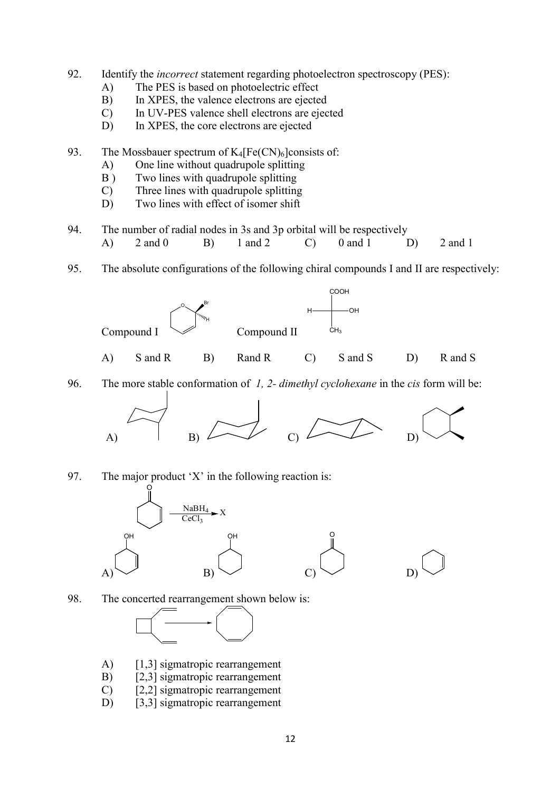- 92. Identify the *incorrect* statement regarding photoelectron spectroscopy (PES):
	- A) The PES is based on photoelectric effect
	- B) In XPES, the valence electrons are ejected
	- C) In UV-PES valence shell electrons are ejected
	- D) In XPES, the core electrons are ejected

93. The Mossbauer spectrum of  $K_4[Fe(CN)_6]$ consists of:

- A) One line without quadrupole splitting
- B ) Two lines with quadrupole splitting
- C) Three lines with quadrupole splitting
- D) Two lines with effect of isomer shift
- 94. The number of radial nodes in 3s and 3p orbital will be respectively A) 2 and 0 B) 1 and 2 C) 0 and 1 D) 2 and 1
- 95. The absolute configurations of the following chiral compounds I and II are respectively:



96. The more stable conformation of 1, 2- dimethyl cyclohexane in the cis form will be:



97. The major product 'X' in the following reaction is:



98. The concerted rearrangement shown below is:



- A) [1,3] sigmatropic rearrangement
- B) [2,3] sigmatropic rearrangement
- C) [2,2] sigmatropic rearrangement
- D) [3,3] sigmatropic rearrangement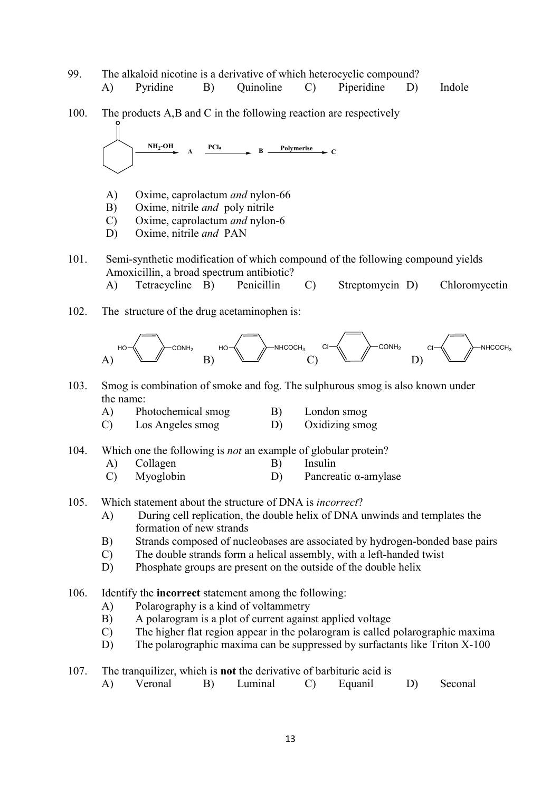- 99. The alkaloid nicotine is a derivative of which heterocyclic compound? A) Pyridine B) Quinoline C) Piperidine D) Indole 100. The products A,B and C in the following reaction are respectively O  $NH_2$ -OH  $PCl_5$  **Polymerise**  $A \xrightarrow{f \cup g} B \xrightarrow{Folymerts} C$ A) Oxime, caprolactum and nylon-66 B) Oxime, nitrile and poly nitrile C) Oxime, caprolactum and nylon-6 D) Oxime, nitrile *and* PAN 101. Semi-synthetic modification of which compound of the following compound yields Amoxicillin, a broad spectrum antibiotic? A) Tetracycline B) Penicillin C) Streptomycin D) Chloromycetin 102. The structure of the drug acetaminophen is: A)  $H$ O $\neg\bigwedge$   $\neg\bigwedge$   $\bigwedge$   $\bigwedge$   $\bigwedge$   $\bigwedge$   $\bigwedge$   $\bigwedge$   $\bigwedge$   $\bigwedge$   $\bigwedge$   $\bigwedge$   $\bigwedge$   $\bigwedge$   $\bigwedge$  B) C)  $COMH_2$   $Cl$   $\longrightarrow$  NHCOCH<sub>3</sub> D)  $Cl - \langle \langle \rangle \rangle$  NHCOCH<sub>3</sub> 103. Smog is combination of smoke and fog. The sulphurous smog is also known under the name: A) Photochemical smog B) London smog C) Los Angeles smog D) Oxidizing smog 104. Which one the following is *not* an example of globular protein? A) Collagen B) Insulin C) Myoglobin D) Pancreatic α-amylase 105. Which statement about the structure of DNA is incorrect? A) During cell replication, the double helix of DNA unwinds and templates the formation of new strands B) Strands composed of nucleobases are associated by hydrogen-bonded base pairs C) The double strands form a helical assembly, with a left-handed twist D) Phosphate groups are present on the outside of the double helix 106. Identify the incorrect statement among the following: A) Polarography is a kind of voltammetry B) A polarogram is a plot of current against applied voltage C) The higher flat region appear in the polarogram is called polarographic maxima D) The polarographic maxima can be suppressed by surfactants like Triton X-100 107. The tranquilizer, which is not the derivative of barbituric acid is
- A) Veronal B) Luminal C) Equanil D) Seconal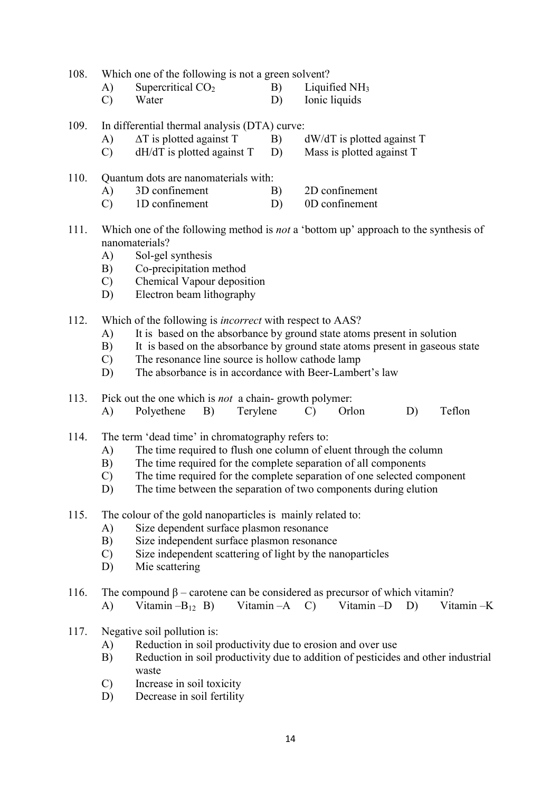108. Which one of the following is not a green solvent?

- A) Supercritical CO<sub>2</sub> B) Liquified NH<sub>3</sub><br>C) Water D) Ionic liquids Ionic liquids
	-
- 109. In differential thermal analysis (DTA) curve:
	- A)  $\Delta T$  is plotted against T B) dW/dT is plotted against T
	- C) dH/dT is plotted against T D) Mass is plotted against T
- 110. Quantum dots are nanomaterials with:
	- A) 3D confinement B) 2D confinement
	- C) 1D confinement D) 0D confinement
- 111. Which one of the following method is not a 'bottom up' approach to the synthesis of nanomaterials?
	- A) Sol-gel synthesis
	- B) Co-precipitation method
	- C) Chemical Vapour deposition
	- D) Electron beam lithography
- 112. Which of the following is *incorrect* with respect to AAS?
	- A) It is based on the absorbance by ground state atoms present in solution
	- B) It is based on the absorbance by ground state atoms present in gaseous state
	- C) The resonance line source is hollow cathode lamp
	- D) The absorbance is in accordance with Beer-Lambert's law
- 113. Pick out the one which is not a chain- growth polymer: A) Polyethene B) Terylene C) Orlon D) Teflon
- 114. The term 'dead time' in chromatography refers to:
	- A) The time required to flush one column of eluent through the column
	- B) The time required for the complete separation of all components
	- C) The time required for the complete separation of one selected component
	- D) The time between the separation of two components during elution
- 115. The colour of the gold nanoparticles is mainly related to:
	- A) Size dependent surface plasmon resonance
	- B) Size independent surface plasmon resonance
	- C) Size independent scattering of light by the nanoparticles
	- D) Mie scattering
- 116. The compound  $\beta$  carotene can be considered as precursor of which vitamin?
	- A) Vitamin –B12 B) Vitamin –A C) Vitamin –D D) Vitamin –K
- 117. Negative soil pollution is:
	- A) Reduction in soil productivity due to erosion and over use
	- B) Reduction in soil productivity due to addition of pesticides and other industrial waste
	- C) Increase in soil toxicity
	- D) Decrease in soil fertility